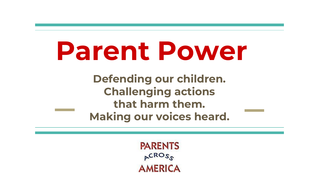# **Parent Power**

**Defending our children. Challenging actions that harm them. Making our voices heard.**

> **PARENTS**  $ACROS$ **AMERICA**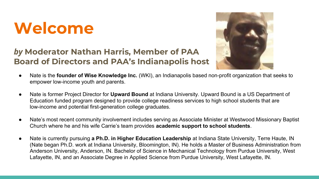## **Welcome**

#### *by* **Moderator Nathan Harris, Member of PAA Board of Directors and PAA's Indianapolis host**



- Nate is the **founder of Wise Knowledge Inc.** (WKI), an Indianapolis based non-profit organization that seeks to empower low-income youth and parents.
- Nate is former Project Director for **Upward Bound** at Indiana University. Upward Bound is a US Department of Education funded program designed to provide college readiness services to high school students that are low-income and potential first-generation college graduates.
- Nate's most recent community involvement includes serving as Associate Minister at Westwood Missionary Baptist Church where he and his wife Carrie's team provides **academic support to school students**.
- Nate is currently pursuing **a Ph.D. in Higher Education Leadership** at Indiana State University, Terre Haute, IN (Nate began Ph.D. work at Indiana University, Bloomington, IN). He holds a Master of Business Administration from Anderson University, Anderson, IN. Bachelor of Science in Mechanical Technology from Purdue University, West Lafayette, IN, and an Associate Degree in Applied Science from Purdue University, West Lafayette, IN.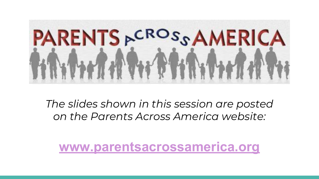

*The slides shown in this session are posted on the Parents Across America website:*

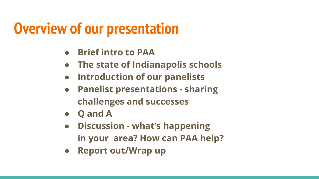## **Overview of our presentation**

- **● Brief intro to PAA**
- **● The state of Indianapolis schools**
- **● Introduction of our panelists**
- **● Panelist presentations sharing challenges and successes**
- **● Q and A**
- **● Discussion what's happening in your area? How can PAA help?**
- **● Report out/Wrap up**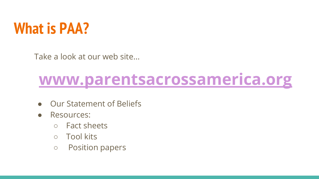

Take a look at our web site...

## **[www.parentsacrossamerica.org](http://www.parentsacrossamerica.org)**

- **Our Statement of Beliefs**
- Resources:
	- Fact sheets
	- Tool kits
	- Position papers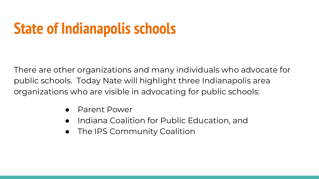## **State of Indianapolis schools**

There are other organizations and many individuals who advocate for public schools. Today Nate will highlight three Indianapolis area organizations who are visible in advocating for public schools:

- Parent Power
- Indiana Coalition for Public Education, and
- The IPS Community Coalition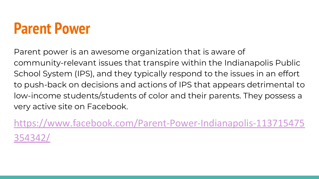## **Parent Power**

Parent power is an awesome organization that is aware of community-relevant issues that transpire within the Indianapolis Public School System (IPS), and they typically respond to the issues in an effort to push-back on decisions and actions of IPS that appears detrimental to low-income students/students of color and their parents. They possess a very active site on Facebook.

[https://www.facebook.com/Parent-Power-Indianapolis-113715475](https://www.facebook.com/Parent-Power-Indianapolis-113715475354342/) [354342/](https://www.facebook.com/Parent-Power-Indianapolis-113715475354342/)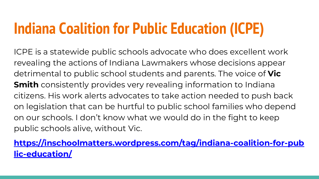## **Indiana Coalition for Public Education (ICPE)**

ICPE is a statewide public schools advocate who does excellent work revealing the actions of Indiana Lawmakers whose decisions appear detrimental to public school students and parents. The voice of **Vic Smith** consistently provides very revealing information to Indiana citizens. His work alerts advocates to take action needed to push back on legislation that can be hurtful to public school families who depend on our schools. I don't know what we would do in the fight to keep public schools alive, without Vic.

**[https://inschoolmatters.wordpress.com/tag/indiana-coalition-for-pub](https://inschoolmatters.wordpress.com/tag/indiana-coalition-for-public-education/) [lic-education/](https://inschoolmatters.wordpress.com/tag/indiana-coalition-for-public-education/)**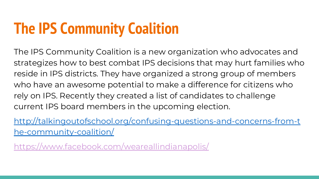## **The IPS Community Coalition**

The IPS Community Coalition is a new organization who advocates and strategizes how to best combat IPS decisions that may hurt families who reside in IPS districts. They have organized a strong group of members who have an awesome potential to make a difference for citizens who rely on IPS. Recently they created a list of candidates to challenge current IPS board members in the upcoming election.

[http://talkingoutofschool.org/confusing-questions-and-concerns-from-t](http://talkingoutofschool.org/confusing-questions-and-concerns-from-the-community-coalition/) [he-community-coalition/](http://talkingoutofschool.org/confusing-questions-and-concerns-from-the-community-coalition/)

<https://www.facebook.com/weareallindianapolis/>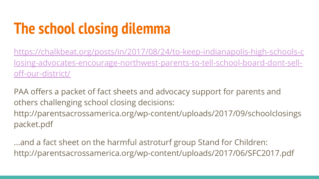## **The school closing dilemma**

[https://chalkbeat.org/posts/in/2017/08/24/to-keep-indianapolis-high-schools-c](https://chalkbeat.org/posts/in/2017/08/24/to-keep-indianapolis-high-schools-closing-advocates-encourage-northwest-parents-to-tell-school-board-dont-sell-off-our-district/) [losing-advocates-encourage-northwest-parents-to-tell-school-board-dont-sell](https://chalkbeat.org/posts/in/2017/08/24/to-keep-indianapolis-high-schools-closing-advocates-encourage-northwest-parents-to-tell-school-board-dont-sell-off-our-district/)[off-our-district/](https://chalkbeat.org/posts/in/2017/08/24/to-keep-indianapolis-high-schools-closing-advocates-encourage-northwest-parents-to-tell-school-board-dont-sell-off-our-district/)

PAA offers a packet of fact sheets and advocacy support for parents and others challenging school closing decisions: http://parentsacrossamerica.org/wp-content/uploads/2017/09/schoolclosings packet.pdf

...and a fact sheet on the harmful astroturf group Stand for Children: http://parentsacrossamerica.org/wp-content/uploads/2017/06/SFC2017.pdf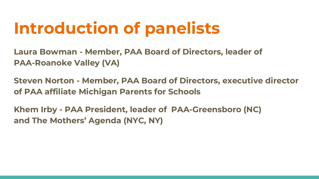## **Introduction of panelists**

**Laura Bowman - Member, PAA Board of Directors, leader of PAA-Roanoke Valley (VA)** 

**Steven Norton - Member, PAA Board of Directors, executive director of PAA affiliate Michigan Parents for Schools** 

**Khem Irby - PAA President, leader of PAA-Greensboro (NC) and The Mothers' Agenda (NYC, NY)**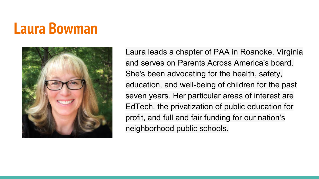## **Laura Bowman**



Laura leads a chapter of PAA in Roanoke, Virginia and serves on Parents Across America's board. She's been advocating for the health, safety, education, and well-being of children for the past seven years. Her particular areas of interest are EdTech, the privatization of public education for profit, and full and fair funding for our nation's neighborhood public schools.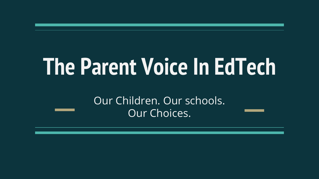# **The Parent Voice In EdTech**

Our Children. Our schools. Our Choices.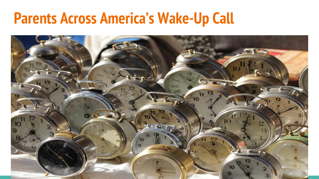## **Parents Across America's Wake-Up Call**

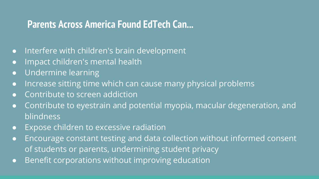#### **Parents Across America Found EdTech Can...**

- Interfere with children's brain development
- Impact children's mental health
- Undermine learning
- Increase sitting time which can cause many physical problems
- Contribute to screen addiction
- Contribute to eyestrain and potential myopia, macular degeneration, and blindness
- Expose children to excessive radiation
- Encourage constant testing and data collection without informed consent of students or parents, undermining student privacy
- Benefit corporations without improving education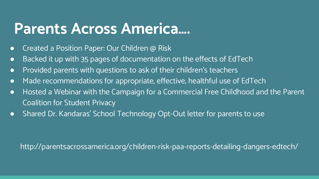### **Parents Across America….**

- Created a Position Paper: Our Children @ Risk
- Backed it up with 35 pages of documentation on the effects of EdTech
- Provided parents with questions to ask of their children's teachers
- Made recommendations for appropriate, effective, healthful use of EdTech
- Hosted a Webinar with the Campaign for a Commercial Free Childhood and the Parent Coalition for Student Privacy
- Shared Dr. Kandaras' School Technology Opt-Out letter for parents to use

http://parentsacrossamerica.org/children-risk-paa-reports-detailing-dangers-edtech/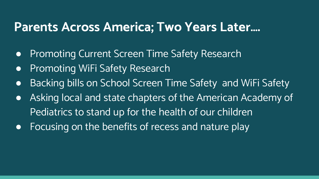#### **Parents Across America; Two Years Later….**

- Promoting Current Screen Time Safety Research
- **•** Promoting WiFi Safety Research
- Backing bills on School Screen Time Safety and WiFi Safety
- Asking local and state chapters of the American Academy of Pediatrics to stand up for the health of our children
- Focusing on the benefits of recess and nature play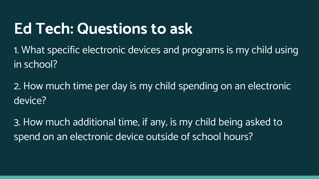## **Ed Tech: Questions to ask**

1. What specific electronic devices and programs is my child using in school?

2. How much time per day is my child spending on an electronic device?

3. How much additional time, if any, is my child being asked to spend on an electronic device outside of school hours?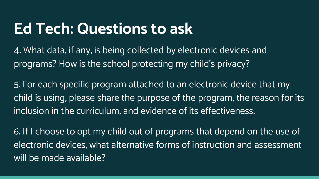## **Ed Tech: Questions to ask**

4. What data, if any, is being collected by electronic devices and programs? How is the school protecting my child's privacy?

5. For each specific program attached to an electronic device that my child is using, please share the purpose of the program, the reason for its inclusion in the curriculum, and evidence of its effectiveness.

6. If I choose to opt my child out of programs that depend on the use of electronic devices, what alternative forms of instruction and assessment will be made available?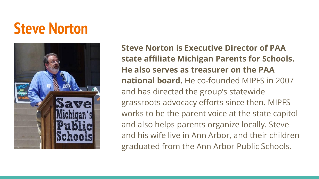## **Steve Norton**



**Steve Norton is Executive Director of PAA state affiliate Michigan Parents for Schools. He also serves as treasurer on the PAA national board.** He co-founded MIPFS in 2007 and has directed the group's statewide grassroots advocacy efforts since then. MIPFS works to be the parent voice at the state capitol and also helps parents organize locally. Steve and his wife live in Ann Arbor, and their children graduated from the Ann Arbor Public Schools.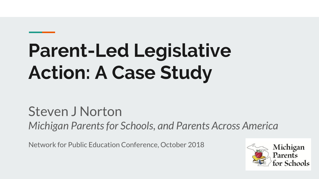## **Parent-Led Legislative Action: A Case Study**

Steven J Norton *Michigan Parents for Schools, and Parents Across America*

Network for Public Education Conference, October 2018

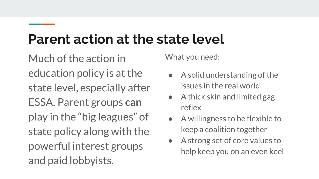### **Parent action at the state level**

Much of the action in education policy is at the state level, especially after ESSA. Parent groups **can** play in the "big leagues" of state policy along with the powerful interest groups and paid lobbyists.

What you need:

- $\bullet$  A solid understanding of the issues in the real world
- $\bullet$  A thick skin and limited gag reflex
- A willingness to be flexible to keep a coalition together
- A strong set of core values to help keep you on an even keel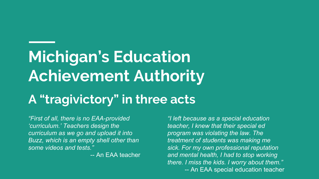## **Michigan's Education Achievement Authority**

#### **A "tragivictory" in three acts**

*"First of all, there is no EAA-provided 'curriculum.' Teachers design the curriculum as we go and upload it into Buzz, which is an empty shell other than some videos and tests."*

-- An EAA teacher

*"I left because as a special education teacher, I knew that their special ed program was violating the law. The treatment of students was making me sick. For my own professional reputation and mental health, I had to stop working there. I miss the kids. I worry about them."* -- An EAA special education teacher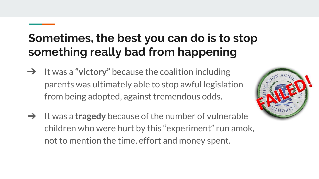#### **Sometimes, the best you can do is to stop something really bad from happening**

- ➔ It was a **"victory"** because the coalition including parents was ultimately able to stop awful legislation from being adopted, against tremendous odds.
- ➔ It was a **tragedy** because of the number of vulnerable children who were hurt by this "experiment" run amok, not to mention the time, effort and money spent.

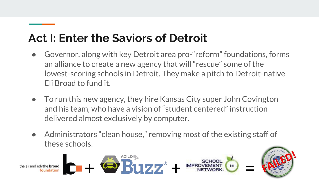#### **Act I: Enter the Saviors of Detroit**

- Governor, along with key Detroit area pro-"reform" foundations, forms an alliance to create a new agency that will "rescue" some of the lowest-scoring schools in Detroit. They make a pitch to Detroit-native Eli Broad to fund it.
- To run this new agency, they hire Kansas City super John Covington and his team, who have a vision of "student centered" instruction delivered almost exclusively by computer.
- Administrators "clean house," removing most of the existing staff of these schools.

 $+ 45$   $B177$   $+ 4$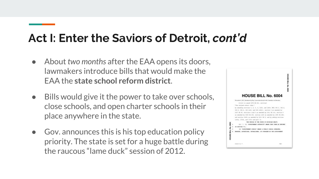#### **Act I: Enter the Saviors of Detroit,** *cont'd*

- About *two months* after the EAA opens its doors, lawmakers introduce bills that would make the EAA the **state school reform district**.
- Bills would give it the power to take over schools, close schools, and open charter schools in their place anywhere in the state.
- Gov. announces this is his top education policy priority. The state is set for a huge battle during the raucous "lame duck" session of 2012.

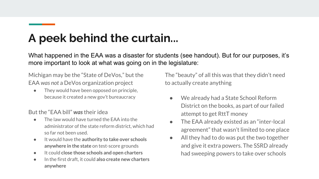#### **A peek behind the curtain...**

What happened in the EAA was a disaster for students (see handout). But for our purposes, it's more important to look at what was going on in the legislature:

Michigan may be the "State of DeVos," but the EAA *was not* a DeVos organization project

They would have been opposed on principle, because it created a new gov't bureaucracy

But the "EAA bill" *was* their idea

- The law would have turned the FAA into the administrator of the state reform district, which had so far not been used.
- It would have the **authority to take over schools anywhere in the state** on test-score grounds
- It could **close those schools and open charters**
- In the first draft, it could **also create new charters anywhere**

The "beauty" of all this was that they didn't need to actually create anything

- We already had a State School Reform District on the books, as part of our failed attempt to get RttT money
- The EAA already existed as an "inter-local agreement" that wasn't limited to one place
- All they had to do was put the two together and give it extra powers. The SSRD already had sweeping powers to take over schools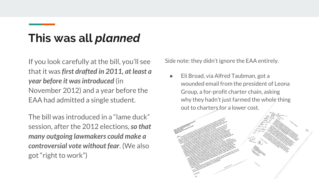#### **This was all** *planned*

If you look carefully at the bill, you'll see that it was *first drafted in 2011, at least a year before it was introduced* (in November 2012) and a year before the EAA had admitted a single student.

The bill was introduced in a "lame duck" session, after the 2012 elections, *so that many outgoing lawmakers could make a controversial vote without fear*. (We also got "right to work")

Side note: they didn't ignore the EAA entirely.

Eli Broad, via Alfred Taubman, got a wounded email from the president of Leona Group, a for-profit charter chain, asking why they hadn't just farmed the whole thing out to charters for a lower cost.

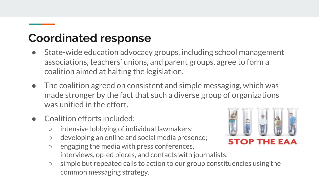#### **Coordinated response**

- State-wide education advocacy groups, including school management associations, teachers' unions, and parent groups, agree to form a coalition aimed at halting the legislation.
- The coalition agreed on consistent and simple messaging, which was made stronger by the fact that such a diverse group of organizations was unified in the effort.
- Coalition efforts included:
	- intensive lobbying of individual lawmakers;
	- developing an online and social media presence;
	- engaging the media with press conferences, interviews, op-ed pieces, and contacts with journalists;
	- simple but repeated calls to action to our group constituencies using the common messaging strategy.

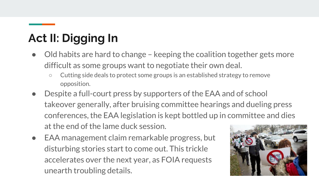### **Act II: Digging In**

- Old habits are hard to change keeping the coalition together gets more difficult as some groups want to negotiate their own deal.
	- Cutting side deals to protect some groups is an established strategy to remove opposition.
- Despite a full-court press by supporters of the EAA and of school takeover generally, after bruising committee hearings and dueling press conferences, the EAA legislation is kept bottled up in committee and dies at the end of the lame duck session.
- EAA management claim remarkable progress, but disturbing stories start to come out. This trickle accelerates over the next year, as FOIA requests unearth troubling details.

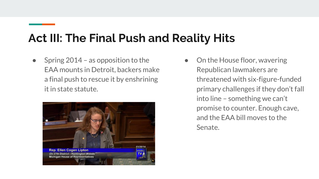#### **Act III: The Final Push and Reality Hits**

Spring  $2014$  – as opposition to the EAA mounts in Detroit, backers make a final push to rescue it by enshrining it in state statute.



• On the House floor, wavering Republican lawmakers are threatened with six-figure-funded primary challenges if they don't fall into line – something we can't promise to counter. Enough cave, and the EAA bill moves to the Senate.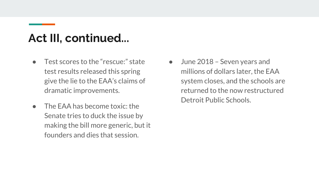#### **Act III, continued...**

- Test scores to the "rescue:" state test results released this spring give the lie to the EAA's claims of dramatic improvements.
- The FAA has become toxic: the Senate tries to duck the issue by making the bill more generic, but it founders and dies that session.
- June 2018 Seven years and millions of dollars later, the EAA system closes, and the schools are returned to the now restructured Detroit Public Schools.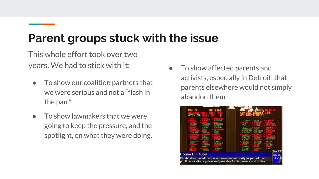#### **Parent groups stuck with the issue**

This whole effort took over two years. We had to stick with it:

- To show our coalition partners that we were serious and not a "flash in the pan."
- $\bullet$  To show lawmakers that we were going to keep the pressure, and the spotlight, on what they were doing.
- To show affected parents and activists, especially in Detroit, that parents elsewhere would not simply abandon them

| <b>BOLGER</b><br><b>CREETON</b><br>COTTER<br><b>CRAWFORD</b><br>DHLEY<br>DET IBY | CORRINGTON<br>FORLINI<br><b>FOSTER</b><br><b>FRANZ</b><br><b>GENETSKI</b><br><b>GOIKE</b><br><b>GRAVES</b><br>HAINES<br><b>HAVENAN</b><br><b>HETSE</b><br><b>HOOKER</b> | <b>HOURVURK</b><br><b>JADREEN</b><br><b>JENKINS</b><br><b>JOHNSON</b><br><b>KELLY</b><br><b>KESTO</b><br><b>KOKALL</b><br>KURTZ<br>LAFONTAINE<br><b>LAUNERS</b> | LEDNARD<br>LORI<br>LUND<br>LVENS<br>THSTER<br>MCBROOM<br><b>MCCREADY</b><br><b>MCMILLIN</b><br>MLIXL DM<br>NESBITT<br><b>D'ERIEN</b><br><b>OLLIMBA</b><br><b>DUTMAN</b> | <b>PROFI</b><br><b>POLESKI</b><br>PRICE<br>PSCHOLKR<br><b>RENOON</b><br><b>ROGERS</b><br>SENTRNA<br>SCHMIDT<br><b>SHIRKEY</b> | <b>STAMPS</b><br><b>UEBHFLILEN</b><br><b>UICTORY</b><br><b>WALSH</b><br><b>YONKER</b><br>ZORN |
|----------------------------------------------------------------------------------|-------------------------------------------------------------------------------------------------------------------------------------------------------------------------|-----------------------------------------------------------------------------------------------------------------------------------------------------------------|-------------------------------------------------------------------------------------------------------------------------------------------------------------------------|-------------------------------------------------------------------------------------------------------------------------------|-----------------------------------------------------------------------------------------------|
| House Bill 4369                                                                  |                                                                                                                                                                         |                                                                                                                                                                 |                                                                                                                                                                         |                                                                                                                               | 03/20/14<br><b>HOUSE</b>                                                                      |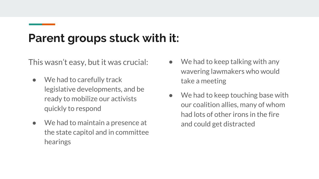#### **Parent groups stuck with it:**

This wasn't easy, but it was crucial:

- We had to carefully track legislative developments, and be ready to mobilize our activists quickly to respond
- We had to maintain a presence at the state capitol and in committee hearings
- We had to keep talking with any wavering lawmakers who would take a meeting
- We had to keep touching base with our coalition allies, many of whom had lots of other irons in the fire and could get distracted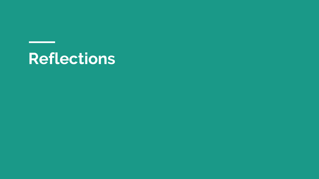## **Reflections**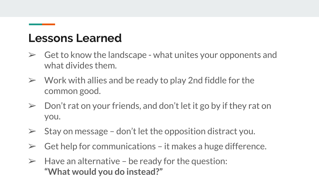#### **Lessons Learned**

- $\triangleright$  Get to know the landscape what unites your opponents and what divides them.
- $\triangleright$  Work with allies and be ready to play 2nd fiddle for the common good.
- $\geq$  Don't rat on your friends, and don't let it go by if they rat on you.
- $\triangleright$  Stay on message don't let the opposition distract you.
- $\triangleright$  Get help for communications it makes a huge difference.
- $\triangleright$  Have an alternative be ready for the question: **"What would you do instead?"**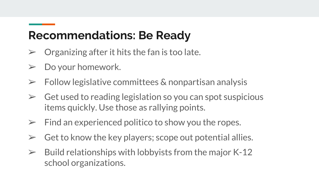#### **Recommendations: Be Ready**

- $\triangleright$  Organizing after it hits the fan is too late.
- $\triangleright$  Do your homework.
- $\triangleright$  Follow legislative committees & nonpartisan analysis
- $\triangleright$  Get used to reading legislation so you can spot suspicious items quickly. Use those as rallying points.
- $\triangleright$  Find an experienced politico to show you the ropes.
- $\triangleright$  Get to know the key players; scope out potential allies.
- $\geq$  Build relationships with lobbyists from the major K-12 school organizations.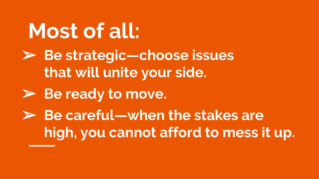➢ **Be strategic—choose issues that will unite your side.** ➢ **Be ready to move.** ➢ **Be careful—when the stakes are high, you cannot afford to mess it up. Most of all:**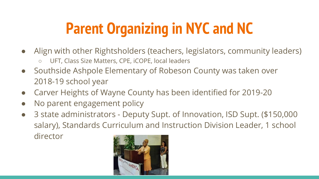## **Parent Organizing in NYC and NC**

- Align with other Rightsholders (teachers, legislators, community leaders)
	- UFT, Class Size Matters, CPE, iCOPE, local leaders
- Southside Ashpole Elementary of Robeson County was taken over 2018-19 school year
- Carver Heights of Wayne County has been identified for 2019-20
- No parent engagement policy
- 3 state administrators Deputy Supt. of Innovation, ISD Supt. (\$150,000 salary), Standards Curriculum and Instruction Division Leader, 1 school director

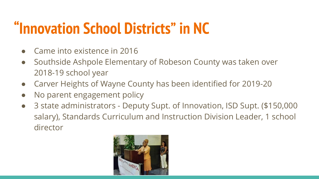## **"Innovation School Districts" in NC**

- Came into existence in 2016
- Southside Ashpole Elementary of Robeson County was taken over 2018-19 school year
- Carver Heights of Wayne County has been identified for 2019-20
- No parent engagement policy
- 3 state administrators Deputy Supt. of Innovation, ISD Supt. (\$150,000 salary), Standards Curriculum and Instruction Division Leader, 1 school director

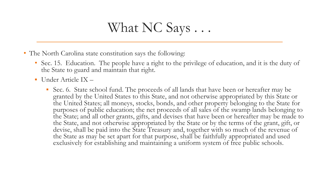#### What NC Says . . .

- The North Carolina state constitution says the following:
	- Sec. 15. Education. The people have a right to the privilege of education, and it is the duty of the State to guard and maintain that right.
	- Under Article IX
		- Sec. 6. State school fund. The proceeds of all lands that have been or hereafter may be granted by the United States to this State, and not otherwise appropriated by this State or the United States; all moneys, stocks, bonds, and other property belonging to the State for purposes of public education; the net proceeds of all sales of the swamp lands belonging to the State; and all other grants, gifts, and devises that have been or hereafter may be made to the State, and not otherwise appropriated by the State or by the terms of the grant, gift, or devise, shall be paid into the State Treasury and, together with so much of the revenue of the State as may be set apart for that purpose, shall be faithfully appropriated and used exclusively for establishing and maintaining a uniform system of free public schools.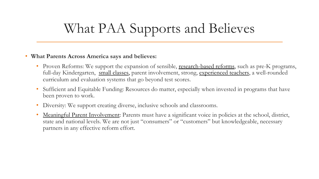## What PAA Supports and Believes

#### • **What Parents Across America says and believes:**

- Proven Reforms: We support the expansion of sensible, [research-based reforms](http://parentsacrossamerica.org/what-we-believe/ask-the-right-questions/), such as pre-K programs, full-day Kindergarten, [small classes](http://parentsacrossamerica.org/what-we-believe/why-class-size-matters), parent involvement, strong, [experienced teachers](http://parentsacrossamerica.org/how-teaching-experience-makes-a-difference/), a well-rounded curriculum and evaluation systems that go beyond test scores.
- Sufficient and Equitable Funding: Resources do matter, especially when invested in programs that have been proven to work.
- Diversity: We support creating diverse, inclusive schools and classrooms.
- [Meaningful Parent Involvement:](http://parentsacrossamerica.org/parents-rights/) Parents must have a significant voice in policies at the school, district, state and national levels. We are not just "consumers" or "customers" but knowledgeable, necessary partners in any effective reform effort.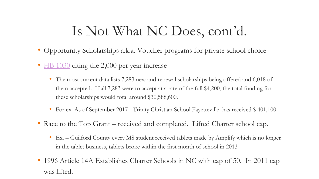### Is Not What NC Does, cont'd.

- Opportunity Scholarships a.k.a. Voucher programs for private school choice
- [HB 1030](http://www.ncleg.net/Sessions/2015/Bills/House/HTML/H1030v7.html) citing the 2,000 per year increase
	- The most current data lists 7,283 new and renewal scholarships being offered and 6,018 of them accepted. If all 7,283 were to accept at a rate of the full \$4,200, the total funding for these scholarships would total around \$30,588,600.
	- For ex. As of September 2017 Trinity Christian School Fayetteville has received \$ 401,100
- Race to the Top Grant received and completed. Lifted Charter school cap.
	- Ex. Guilford County every MS student received tablets made by Amplify which is no longer in the tablet business, tablets broke within the first month of school in 2013
- 1996 Article 14A Establishes Charter Schools in NC with cap of 50. In 2011 cap was lifted.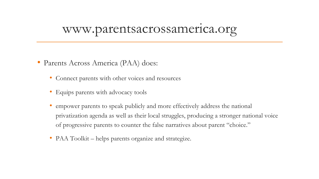#### www.parentsacrossamerica.org

- Parents Across America (PAA) does:
	- Connect parents with other voices and resources
	- Equips parents with advocacy tools
	- empower parents to speak publicly and more effectively address the national privatization agenda as well as their local struggles, producing a stronger national voice of progressive parents to counter the false narratives about parent "choice."
	- PAA Toolkit helps parents organize and strategize.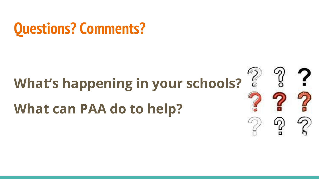

## **What's happening in your schools? What can PAA do to help?**